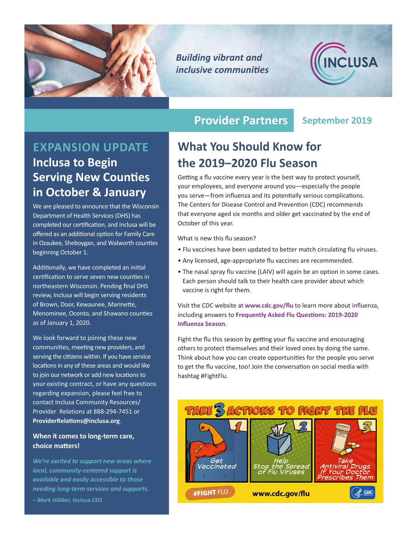

*Building vibrant and inclusive communities*



## **EXPANSION UPDATE Inclusa to Begin Serving New Counties in October & January**

We are pleased to announce that the Wisconsin Department of Health Services (DHS) has completed our certification, and Inclusa will be offered as an additional option for Family Care in Ozaukee, Sheboygan, and Walworth counties beginning October 1.

Additionally, we have completed an initial certification to serve seven new counties in northeastern Wisconsin. Pending final DHS review, Inclusa will begin serving residents of Brown, Door, Kewaunee, Marinette, Menominee, Oconto, and Shawano counties as of January 1, 2020.

We look forward to joining these new communities, meeting new providers, and serving the citizens within. If you have service locations in any of these areas and would like to join our network or add new locations to your existing contract, or have any questions regarding expansion, please feel free to contact Inclusa Community Resources/ Provider Relations at 888-294-7451 or **[ProviderRelations@inclusa.org](mailto:ProviderRelations%40inclusa.org?subject=)**.

### **When it comes to long-term care, choice matters!**

*We're excited to support new areas where local, community-centered support is available and easily accessible to those needing long-term services and supports.*

*– Mark Hilliker, Inclusa CEO*

### **Provider Partners September 2019**

### **What You Should Know for the 2019–2020 Flu Season**

Getting a flu vaccine every year is the best way to protect yourself, your employees, and everyone around you—especially the people you serve—from influenza and its potentially serious complications. The Centers for Disease Control and Prevention (CDC) recommends that everyone aged six months and older get vaccinated by the end of October of this year.

What is new this flu season?

- Flu vaccines have been updated to better match circulating flu viruses.
- Any licensed, age-appropriate flu vaccines are recommended.
- The nasal spray flu vaccine (LAIV) will again be an option in some cases. Each person should talk to their health care provider about which vaccine is right for them.

Visit the CDC website at **[www.cdc.gov/flu](http://www.cdc.gov/flu)** to learn more about influenza, including answers to **[Frequently Asked Flu Questions: 2019-2020](http://www.cdc.gov/flu/season/flu-season-2019-2020.htm)  [Influenza Season](http://www.cdc.gov/flu/season/flu-season-2019-2020.htm)**.

Fight the flu this season by getting your flu vaccine and encouraging others to protect themselves and their loved ones by doing the same. Think about how you can create opportunities for the people you serve to get the flu vaccine, too! Join the conversation on social media with hashtag #FightFlu.

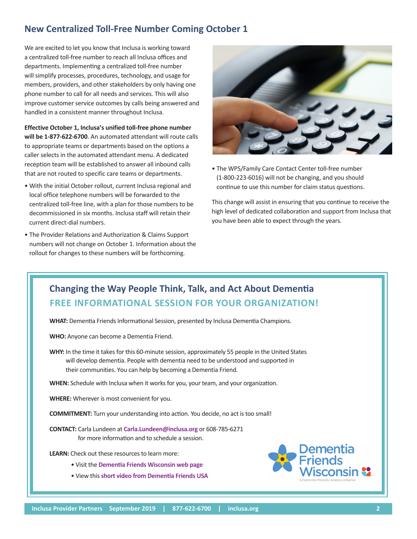### **New Centralized Toll-Free Number Coming October 1**

We are excited to let you know that Inclusa is working toward a centralized toll-free number to reach all Inclusa offices and departments. Implementing a centralized toll-free number will simplify processes, procedures, technology, and usage for members, providers, and other stakeholders by only having one phone number to call for all needs and services. This will also improve customer service outcomes by calls being answered and handled in a consistent manner throughout Inclusa.

**Effective October 1, Inclusa's unified toll-free phone number will be 1-877-622-6700**. An automated attendant will route calls to appropriate teams or departments based on the options a caller selects in the automated attendant menu. A dedicated reception team will be established to answer all inbound calls that are not routed to specific care teams or departments.

- With the initial October rollout, current Inclusa regional and local office telephone numbers will be forwarded to the centralized toll-free line, with a plan for those numbers to be decommissioned in six months. Inclusa staff will retain their current direct-dial numbers.
- The Provider Relations and Authorization & Claims Support numbers will not change on October 1. Information about the rollout for changes to these numbers will be forthcoming.



• The WPS/Family Care Contact Center toll-free number (1-800-223-6016) will not be changing, and you should continue to use this number for claim status questions.

This change will assist in ensuring that you continue to receive the high level of dedicated collaboration and support from Inclusa that you have been able to expect through the years.

### **Changing the Way People Think, Talk, and Act About Dementia FREE INFORMATIONAL SESSION FOR YOUR ORGANIZATION!**

**WHAT:** Dementia Friends Informational Session, presented by Inclusa Dementia Champions.

**WHO:** Anyone can become a Dementia Friend.

**WHY:** In the time it takes for this 60-minute session, approximately 55 people in the United States will develop dementia. People with dementia need to be understood and supported in their communities. You can help by becoming a Dementia Friend.

**WHEN:** Schedule with Inclusa when it works for you, your team, and your organization.

**WHERE:** Wherever is most convenient for you.

**COMMITMENT:** Turn your understanding into action. You decide, no act is too small!

**CONTACT:** Carla Lundeen at **[Carla.Lundeen@inclusa.org](mailto:Carla.Lundeen%40inclusa.org?subject=)** or 608-785-6271 for more information and to schedule a session.

**LEARN:** Check out these resources to learn more:

- Visit the **[Dementia Friends Wisconsin web page](http://www.wai.wisc.edu/dementiafriendswi/index.html)**
- View this **[short video from Dementia Friends USA](http://vimeo.com/303749825)**

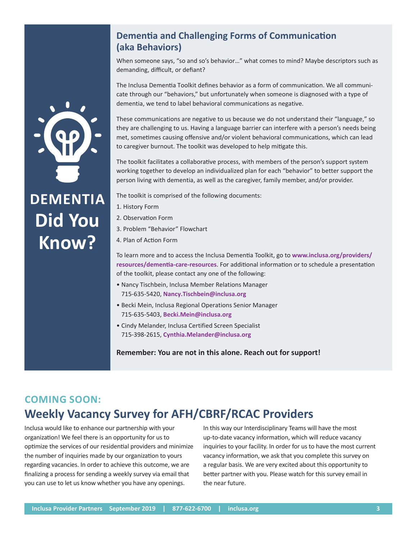### **Dementia and Challenging Forms of Communication (aka Behaviors)**

When someone says, "so and so's behavior…" what comes to mind? Maybe descriptors such as demanding, difficult, or defiant?

The Inclusa Dementia Toolkit defines behavior as a form of communication. We all communicate through our "behaviors," but unfortunately when someone is diagnosed with a type of dementia, we tend to label behavioral communications as negative.

These communications are negative to us because we do not understand their "language," so they are challenging to us. Having a language barrier can interfere with a person's needs being met, sometimes causing offensive and/or violent behavioral communications, which can lead to caregiver burnout. The toolkit was developed to help mitigate this.

The toolkit facilitates a collaborative process, with members of the person's support system working together to develop an individualized plan for each "behavior" to better support the person living with dementia, as well as the caregiver, family member, and/or provider.

The toolkit is comprised of the following documents:

- 1. History Form
- 2. Observation Form
- 3. Problem "Behavior" Flowchart
- 4. Plan of Action Form

To learn more and to access the Inclusa Dementia Toolkit, go to **[www.inclusa.org/providers/](http://www.inclusa.org/providers/resources/dementia-care-resources) [resources/dementia-care-resources](http://www.inclusa.org/providers/resources/dementia-care-resources)**. For additional information or to schedule a presentation of the toolkit, please contact any one of the following:

- Nancy Tischbein, Inclusa Member Relations Manager 715-635-5420, **[Nancy.Tischbein@inclusa.org](mailto:Nancy.Tischbein%40inclusa.org?subject=)**
- Becki Mein, Inclusa Regional Operations Senior Manager 715-635-5403, **[Becki.Mein@inclusa.org](mailto:Becki.Mein%40inclusa.org?subject=)**
- Cindy Melander, Inclusa Certified Screen Specialist 715-398-2615, **[Cynthia.Melander@inclusa.org](mailto:Cynthia.Melander%40inclusa.org?subject=)**

**Remember: You are not in this alone. Reach out for support!**

### **COMING SOON: Weekly Vacancy Survey for AFH/CBRF/RCAC Providers**

Inclusa would like to enhance our partnership with your organization! We feel there is an opportunity for us to optimize the services of our residential providers and minimize the number of inquiries made by our organization to yours regarding vacancies. In order to achieve this outcome, we are finalizing a process for sending a weekly survey via email that you can use to let us know whether you have any openings.

In this way our Interdisciplinary Teams will have the most up-to-date vacancy information, which will reduce vacancy inquiries to your facility. In order for us to have the most current vacancy information, we ask that you complete this survey on a regular basis. We are very excited about this opportunity to better partner with you. Please watch for this survey email in the near future.



# **DEMENTIA Did You Know?**